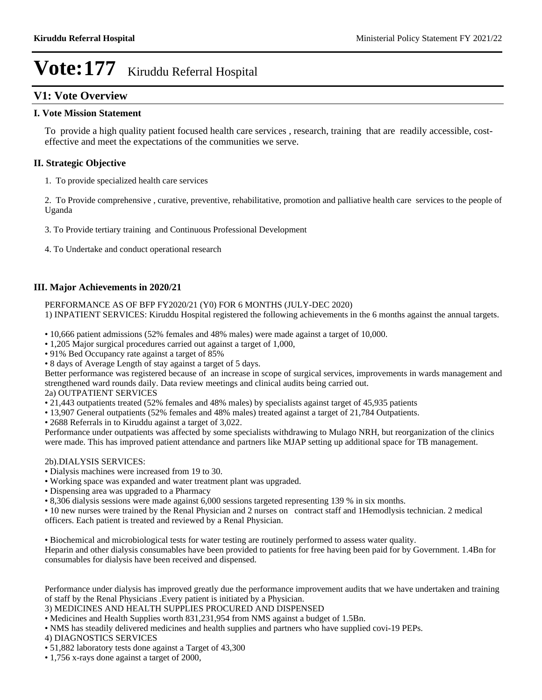### **V1: Vote Overview**

### **I. Vote Mission Statement**

To provide a high quality patient focused health care services , research, training that are readily accessible, costeffective and meet the expectations of the communities we serve.

### **II. Strategic Objective**

1. To provide specialized health care services

2. To Provide comprehensive , curative, preventive, rehabilitative, promotion and palliative health care services to the people of Uganda

3. To Provide tertiary training and Continuous Professional Development

4. To Undertake and conduct operational research

### **III. Major Achievements in 2020/21**

PERFORMANCE AS OF BFP FY2020/21 (Y0) FOR 6 MONTHS (JULY-DEC 2020)

1) INPATIENT SERVICES: Kiruddu Hospital registered the following achievements in the 6 months against the annual targets.

- 10,666 patient admissions (52% females and 48% males) were made against a target of 10,000.
- 1,205 Major surgical procedures carried out against a target of 1,000,
- 91% Bed Occupancy rate against a target of 85%
- 8 days of Average Length of stay against a target of 5 days.

Better performance was registered because of an increase in scope of surgical services, improvements in wards management and strengthened ward rounds daily. Data review meetings and clinical audits being carried out.

### 2a) OUTPATIENT SERVICES

- 21,443 outpatients treated (52% females and 48% males) by specialists against target of 45,935 patients
- 13,907 General outpatients (52% females and 48% males) treated against a target of 21,784 Outpatients.
- 2688 Referrals in to Kiruddu against a target of 3,022.

Performance under outpatients was affected by some specialists withdrawing to Mulago NRH, but reorganization of the clinics were made. This has improved patient attendance and partners like MJAP setting up additional space for TB management.

### 2b).DIALYSIS SERVICES:

- Dialysis machines were increased from 19 to 30.
- Working space was expanded and water treatment plant was upgraded.
- Dispensing area was upgraded to a Pharmacy
- 8,306 dialysis sessions were made against 6,000 sessions targeted representing 139 % in six months.
- 10 new nurses were trained by the Renal Physician and 2 nurses on contract staff and 1Hemodlysis technician. 2 medical officers. Each patient is treated and reviewed by a Renal Physician.

Biochemical and microbiological tests for water testing are routinely performed to assess water quality.

Heparin and other dialysis consumables have been provided to patients for free having been paid for by Government. 1.4Bn for consumables for dialysis have been received and dispensed.

Performance under dialysis has improved greatly due the performance improvement audits that we have undertaken and training of staff by the Renal Physicians .Every patient is initiated by a Physician.

3) MEDICINES AND HEALTH SUPPLIES PROCURED AND DISPENSED

Medicines and Health Supplies worth 831,231,954 from NMS against a budget of 1.5Bn.

NMS has steadily delivered medicines and health supplies and partners who have supplied covi-19 PEPs.

4) DIAGNOSTICS SERVICES

1,756 x-rays done against a target of 2000,

<sup>51,882</sup> laboratory tests done against a Target of 43,300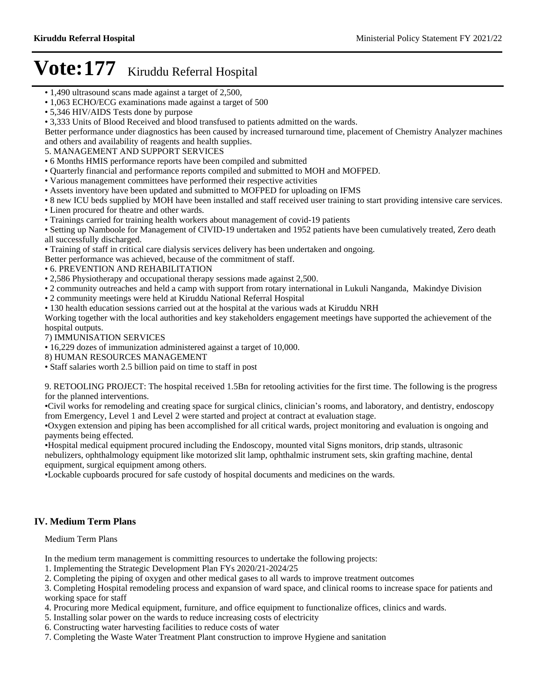- 1,490 ultrasound scans made against a target of 2,500,
- 1,063 ECHO/ECG examinations made against a target of 500
- 5,346 HIV/AIDS Tests done by purpose
- 3,333 Units of Blood Received and blood transfused to patients admitted on the wards.

Better performance under diagnostics has been caused by increased turnaround time, placement of Chemistry Analyzer machines and others and availability of reagents and health supplies.

5. MANAGEMENT AND SUPPORT SERVICES

- 6 Months HMIS performance reports have been compiled and submitted
- Quarterly financial and performance reports compiled and submitted to MOH and MOFPED.
- Various management committees have performed their respective activities
- Assets inventory have been updated and submitted to MOFPED for uploading on IFMS
- 8 new ICU beds supplied by MOH have been installed and staff received user training to start providing intensive care services. Linen procured for theatre and other wards.
- Trainings carried for training health workers about management of covid-19 patients

Setting up Namboole for Management of CIVID-19 undertaken and 1952 patients have been cumulatively treated, Zero death all successfully discharged.

Training of staff in critical care dialysis services delivery has been undertaken and ongoing.

- Better performance was achieved, because of the commitment of staff.
- 6. PREVENTION AND REHABILITATION
- 2,586 Physiotherapy and occupational therapy sessions made against 2,500.
- 2 community outreaches and held a camp with support from rotary international in Lukuli Nanganda, Makindye Division
- 2 community meetings were held at Kiruddu National Referral Hospital
- 130 health education sessions carried out at the hospital at the various wads at Kiruddu NRH

Working together with the local authorities and key stakeholders engagement meetings have supported the achievement of the hospital outputs.

7) IMMUNISATION SERVICES

16,229 dozes of immunization administered against a target of 10,000.

8) HUMAN RESOURCES MANAGEMENT

Staff salaries worth 2.5 billion paid on time to staff in post

9. RETOOLING PROJECT: The hospital received 1.5Bn for retooling activities for the first time. The following is the progress for the planned interventions.

•Civil works for remodeling and creating space for surgical clinics, clinician's rooms, and laboratory, and dentistry, endoscopy from Emergency, Level 1 and Level 2 were started and project at contract at evaluation stage.

Oxygen extension and piping has been accomplished for all critical wards, project monitoring and evaluation is ongoing and payments being effected.

Hospital medical equipment procured including the Endoscopy, mounted vital Signs monitors, drip stands, ultrasonic nebulizers, ophthalmology equipment like motorized slit lamp, ophthalmic instrument sets, skin grafting machine, dental equipment, surgical equipment among others.

Lockable cupboards procured for safe custody of hospital documents and medicines on the wards.

### **IV. Medium Term Plans**

Medium Term Plans

In the medium term management is committing resources to undertake the following projects:

- 1. Implementing the Strategic Development Plan FYs 2020/21-2024/25
- 2. Completing the piping of oxygen and other medical gases to all wards to improve treatment outcomes

3. Completing Hospital remodeling process and expansion of ward space, and clinical rooms to increase space for patients and working space for staff

- 4. Procuring more Medical equipment, furniture, and office equipment to functionalize offices, clinics and wards.
- 5. Installing solar power on the wards to reduce increasing costs of electricity
- 6. Constructing water harvesting facilities to reduce costs of water
- 7. Completing the Waste Water Treatment Plant construction to improve Hygiene and sanitation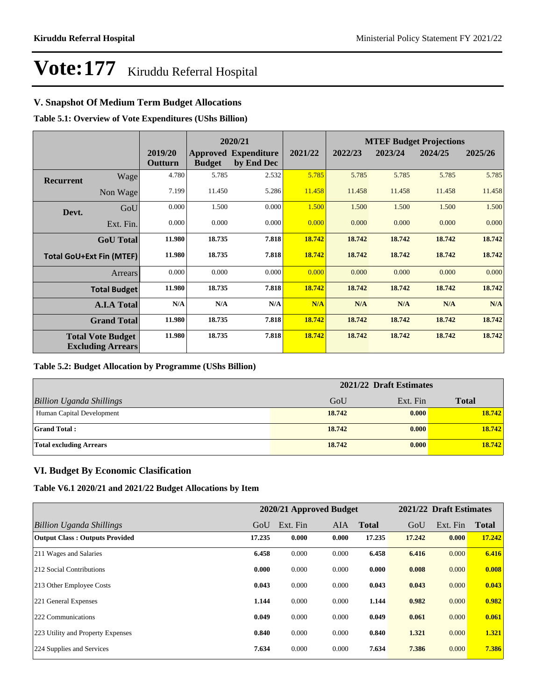### **V. Snapshot Of Medium Term Budget Allocations**

**Table 5.1: Overview of Vote Expenditures (UShs Billion)**

|                  |                                                      |                    | 2020/21       |                                           |         | <b>MTEF Budget Projections</b> |         |         |         |  |
|------------------|------------------------------------------------------|--------------------|---------------|-------------------------------------------|---------|--------------------------------|---------|---------|---------|--|
|                  |                                                      | 2019/20<br>Outturn | <b>Budget</b> | <b>Approved Expenditure</b><br>by End Dec | 2021/22 | 2022/23                        | 2023/24 | 2024/25 | 2025/26 |  |
| <b>Recurrent</b> | Wage                                                 | 4.780              | 5.785         | 2.532                                     | 5.785   | 5.785                          | 5.785   | 5.785   | 5.785   |  |
|                  | Non Wage                                             | 7.199              | 11.450        | 5.286                                     | 11.458  | 11.458                         | 11.458  | 11.458  | 11.458  |  |
| Devt.            | GoU                                                  | 0.000              | 1.500         | 0.000                                     | 1.500   | 1.500                          | 1.500   | 1.500   | 1.500   |  |
|                  | Ext. Fin.                                            | 0.000              | 0.000         | 0.000                                     | 0.000   | 0.000                          | 0.000   | 0.000   | 0.000   |  |
|                  | <b>GoU</b> Total                                     | 11.980             | 18.735        | 7.818                                     | 18.742  | 18.742                         | 18.742  | 18.742  | 18.742  |  |
|                  | <b>Total GoU+Ext Fin (MTEF)</b>                      | 11.980             | 18.735        | 7.818                                     | 18.742  | 18.742                         | 18.742  | 18.742  | 18.742  |  |
|                  | <b>Arrears</b>                                       | 0.000              | 0.000         | 0.000                                     | 0.000   | 0.000                          | 0.000   | 0.000   | 0.000   |  |
|                  | <b>Total Budget</b>                                  | 11.980             | 18.735        | 7.818                                     | 18.742  | 18.742                         | 18.742  | 18.742  | 18.742  |  |
|                  | <b>A.I.A Total</b>                                   | N/A                | N/A           | N/A                                       | N/A     | N/A                            | N/A     | N/A     | N/A     |  |
|                  | <b>Grand Total</b>                                   | 11.980             | 18.735        | 7.818                                     | 18.742  | 18.742                         | 18.742  | 18.742  | 18.742  |  |
|                  | <b>Total Vote Budget</b><br><b>Excluding Arrears</b> | 11.980             | 18.735        | 7.818                                     | 18.742  | 18.742                         | 18.742  | 18.742  | 18.742  |  |

### **Table 5.2: Budget Allocation by Programme (UShs Billion)**

|                                 | 2021/22 Draft Estimates |          |              |  |  |
|---------------------------------|-------------------------|----------|--------------|--|--|
| <b>Billion Uganda Shillings</b> | GoU                     | Ext. Fin | <b>Total</b> |  |  |
| Human Capital Development       | 18.742                  | 0.000    | 18.742       |  |  |
| <b>Grand Total:</b>             | 18.742                  | 0.000    | 18.742       |  |  |
| <b>Total excluding Arrears</b>  | 18.742                  | 0.000    | 18.742       |  |  |

### **VI. Budget By Economic Clasification**

**Table V6.1 2020/21 and 2021/22 Budget Allocations by Item**

|                                       | 2020/21 Approved Budget |          |            | 2021/22 Draft Estimates |        |          |              |
|---------------------------------------|-------------------------|----------|------------|-------------------------|--------|----------|--------------|
| Billion Uganda Shillings              | GoU                     | Ext. Fin | <b>AIA</b> | <b>Total</b>            | GoU    | Ext. Fin | <b>Total</b> |
| <b>Output Class: Outputs Provided</b> | 17.235                  | 0.000    | 0.000      | 17.235                  | 17.242 | 0.000    | 17.242       |
| 211 Wages and Salaries                | 6.458                   | 0.000    | 0.000      | 6.458                   | 6.416  | 0.000    | 6.416        |
| 212 Social Contributions              | 0.000                   | 0.000    | 0.000      | 0.000                   | 0.008  | 0.000    | 0.008        |
| 213 Other Employee Costs              | 0.043                   | 0.000    | 0.000      | 0.043                   | 0.043  | 0.000    | 0.043        |
| 221 General Expenses                  | 1.144                   | 0.000    | 0.000      | 1.144                   | 0.982  | 0.000    | 0.982        |
| 222 Communications                    | 0.049                   | 0.000    | 0.000      | 0.049                   | 0.061  | 0.000    | 0.061        |
| 223 Utility and Property Expenses     | 0.840                   | 0.000    | 0.000      | 0.840                   | 1.321  | 0.000    | 1.321        |
| 224 Supplies and Services             | 7.634                   | 0.000    | 0.000      | 7.634                   | 7.386  | 0.000    | 7.386        |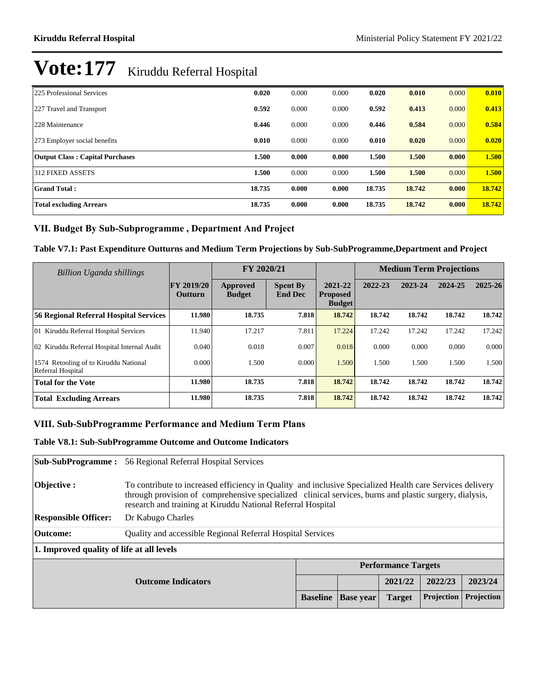| 225 Professional Services              | 0.020  | 0.000 | 0.000 | 0.020  | 0.010  | 0.000 | 0.010  |
|----------------------------------------|--------|-------|-------|--------|--------|-------|--------|
| 227 Travel and Transport               | 0.592  | 0.000 | 0.000 | 0.592  | 0.413  | 0.000 | 0.413  |
| 228 Maintenance                        | 0.446  | 0.000 | 0.000 | 0.446  | 0.584  | 0.000 | 0.584  |
| 273 Employer social benefits           | 0.010  | 0.000 | 0.000 | 0.010  | 0.020  | 0.000 | 0.020  |
| <b>Output Class: Capital Purchases</b> | 1.500  | 0.000 | 0.000 | 1.500  | 1.500  | 0.000 | 1.500  |
| 312 FIXED ASSETS                       | 1.500  | 0.000 | 0.000 | 1.500  | 1.500  | 0.000 | 1.500  |
| <b>Grand Total:</b>                    | 18.735 | 0.000 | 0.000 | 18.735 | 18.742 | 0.000 | 18.742 |
| <b>Total excluding Arrears</b>         | 18.735 | 0.000 | 0.000 | 18.735 | 18.742 | 0.000 | 18.742 |

### VII. Budget By Sub-Subprogramme, Department And Project

### **Table V7.1: Past Expenditure Outturns and Medium Term Projections by Sub-SubProgramme,Department and Project**

| Billion Uganda shillings                                   |                                     | FY 2020/21                |                                   |                                             | <b>Medium Term Projections</b> |         |         |             |
|------------------------------------------------------------|-------------------------------------|---------------------------|-----------------------------------|---------------------------------------------|--------------------------------|---------|---------|-------------|
|                                                            | <b>FY 2019/20</b><br><b>Outturn</b> | Approved<br><b>Budget</b> | <b>Spent By</b><br><b>End Dec</b> | 2021-22<br><b>Proposed</b><br><b>Budget</b> | 2022-23                        | 2023-24 | 2024-25 | $2025 - 26$ |
| 56 Regional Referral Hospital Services                     | 11.980                              | 18.735                    | 7.818                             | 18.742                                      | 18.742                         | 18.742  | 18.742  | 18.742      |
| 01 Kiruddu Referral Hospital Services                      | 11.940                              | 17.217                    | 7.811                             | 17.224                                      | 17.242                         | 17.242  | 17.242  | 17.242      |
| 02 Kiruddu Referral Hospital Internal Audit                | 0.040                               | 0.018                     | 0.007                             | 0.018                                       | 0.000                          | 0.000   | 0.000   | 0.000       |
| 1574 Retooling of to Kiruddu National<br>Referral Hospital | 0.000                               | 1.500                     | 0.000                             | 1.500                                       | 1.500                          | 1.500   | 1.500   | 1.500       |
| <b>Total for the Vote</b>                                  | 11.980                              | 18.735                    | 7.818                             | 18.742                                      | 18.742                         | 18.742  | 18.742  | 18.742      |
| <b>Total Excluding Arrears</b>                             | 11.980                              | 18.735                    | 7.818                             | 18.742                                      | 18.742                         | 18.742  | 18.742  | 18.742      |

### VIII. Sub-SubProgramme Performance and Medium Term Plans

### **Table V8.1: Sub-SubProgramme Outcome and Outcome Indicators**

| <b>Sub-SubProgramme:</b>                             | 56 Regional Referral Hospital Services                                                                                                                                                                                                                                            |  |                            |         |         |            |  |  |
|------------------------------------------------------|-----------------------------------------------------------------------------------------------------------------------------------------------------------------------------------------------------------------------------------------------------------------------------------|--|----------------------------|---------|---------|------------|--|--|
| Objective :                                          | To contribute to increased efficiency in Quality and inclusive Specialized Health care Services delivery<br>through provision of comprehensive specialized clinical services, burns and plastic surgery, dialysis,<br>research and training at Kiruddu National Referral Hospital |  |                            |         |         |            |  |  |
| <b>Responsible Officer:</b>                          | Dr Kabugo Charles                                                                                                                                                                                                                                                                 |  |                            |         |         |            |  |  |
| Outcome:                                             | Quality and accessible Regional Referral Hospital Services                                                                                                                                                                                                                        |  |                            |         |         |            |  |  |
| 1. Improved quality of life at all levels            |                                                                                                                                                                                                                                                                                   |  |                            |         |         |            |  |  |
|                                                      |                                                                                                                                                                                                                                                                                   |  | <b>Performance Targets</b> |         |         |            |  |  |
| <b>Outcome Indicators</b>                            |                                                                                                                                                                                                                                                                                   |  |                            | 2021/22 | 2022/23 | 2023/24    |  |  |
| <b>Baseline</b><br><b>Base year</b><br><b>Target</b> |                                                                                                                                                                                                                                                                                   |  |                            |         |         | Projection |  |  |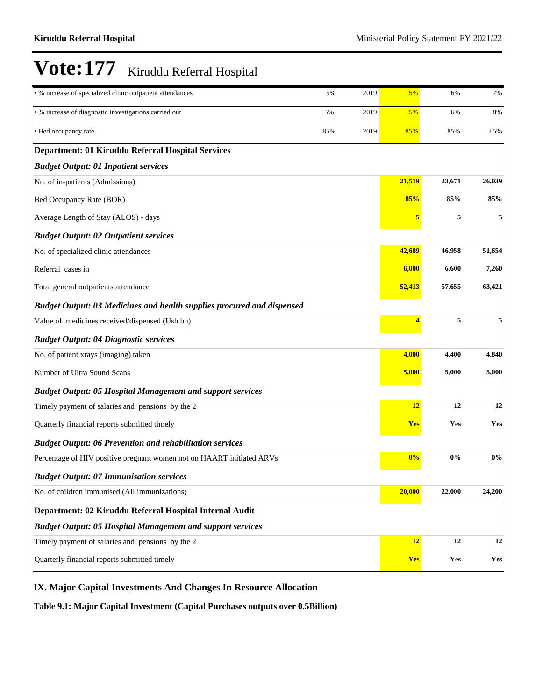| • % increase of specialized clinic outpatient attendances                     | 5%  | 2019 | 5%         | 6%     | 7%                    |
|-------------------------------------------------------------------------------|-----|------|------------|--------|-----------------------|
| • % increase of diagnostic investigations carried out                         | 5%  | 2019 | 5%         | 6%     | 8%                    |
| • Bed occupancy rate                                                          | 85% | 2019 | 85%        | 85%    | 85%                   |
| Department: 01 Kiruddu Referral Hospital Services                             |     |      |            |        |                       |
| <b>Budget Output: 01 Inpatient services</b>                                   |     |      |            |        |                       |
| No. of in-patients (Admissions)                                               |     |      | 21,519     | 23,671 | 26,039                |
| Bed Occupancy Rate (BOR)                                                      |     |      | 85%        | 85%    | 85%                   |
| Average Length of Stay (ALOS) - days                                          |     |      | 5          | 5      |                       |
| <b>Budget Output: 02 Outpatient services</b>                                  |     |      |            |        |                       |
| No. of specialized clinic attendances                                         |     |      | 42,689     | 46,958 | 51,654                |
| Referral cases in                                                             |     |      | 6,000      | 6,600  | 7,260                 |
| Total general outpatients attendance                                          |     |      | 52,413     | 57,655 | 63,421                |
| <b>Budget Output: 03 Medicines and health supplies procured and dispensed</b> |     |      |            |        |                       |
| Value of medicines received/dispensed (Ush bn)                                |     |      | 4          | 5      | 5                     |
| <b>Budget Output: 04 Diagnostic services</b>                                  |     |      |            |        |                       |
| No. of patient xrays (imaging) taken                                          |     |      | 4,000      | 4,400  | 4,840                 |
| Number of Ultra Sound Scans                                                   |     |      | 5,000      | 5,000  | 5,000                 |
| <b>Budget Output: 05 Hospital Management and support services</b>             |     |      |            |        |                       |
| Timely payment of salaries and pensions by the 2                              |     |      | 12         | 12     | 12                    |
| Quarterly financial reports submitted timely                                  |     |      | <b>Yes</b> | Yes    | Yes                   |
| <b>Budget Output: 06 Prevention and rehabilitation services</b>               |     |      |            |        |                       |
| Percentage of HIV positive pregnant women not on HAART initiated ARVs         |     |      | 0%         | 0%     | $0\%$                 |
| <b>Budget Output: 07 Immunisation services</b>                                |     |      |            |        |                       |
| No. of children immunised (All immunizations)                                 |     |      | 20,000     | 22,000 | 24,200                |
| Department: 02 Kiruddu Referral Hospital Internal Audit                       |     |      |            |        |                       |
| <b>Budget Output: 05 Hospital Management and support services</b>             |     |      |            |        |                       |
| Timely payment of salaries and pensions by the 2                              |     |      | 12         | 12     | 12                    |
| Quarterly financial reports submitted timely                                  |     |      | <b>Yes</b> | Yes    | $\mathbf{Yes}\xspace$ |

### **IX. Major Capital Investments And Changes In Resource Allocation**

**Table 9.1: Major Capital Investment (Capital Purchases outputs over 0.5Billion)**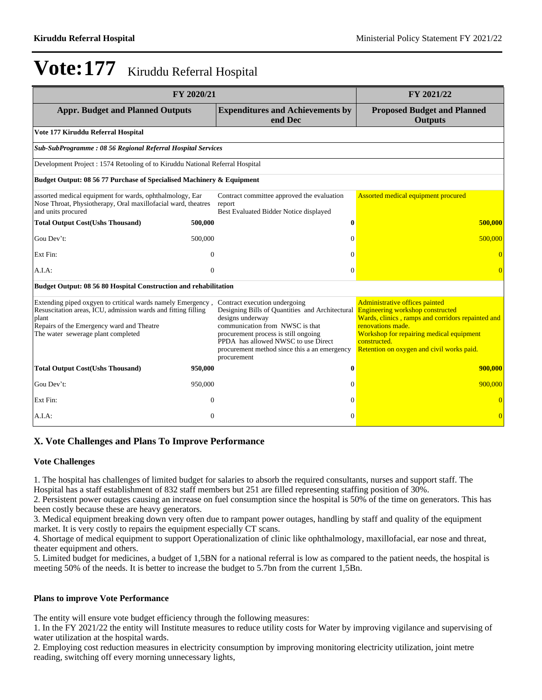| FY 2020/21                                                                                                                                                                                                               | FY 2021/22                                                                                                                                                                                                                                                                            |                                                                                                                                                                                                                                                              |  |
|--------------------------------------------------------------------------------------------------------------------------------------------------------------------------------------------------------------------------|---------------------------------------------------------------------------------------------------------------------------------------------------------------------------------------------------------------------------------------------------------------------------------------|--------------------------------------------------------------------------------------------------------------------------------------------------------------------------------------------------------------------------------------------------------------|--|
| <b>Appr. Budget and Planned Outputs</b>                                                                                                                                                                                  | <b>Expenditures and Achievements by</b><br>end Dec                                                                                                                                                                                                                                    | <b>Proposed Budget and Planned</b><br><b>Outputs</b>                                                                                                                                                                                                         |  |
| Vote 177 Kiruddu Referral Hospital                                                                                                                                                                                       |                                                                                                                                                                                                                                                                                       |                                                                                                                                                                                                                                                              |  |
| Sub-SubProgramme: 08 56 Regional Referral Hospital Services                                                                                                                                                              |                                                                                                                                                                                                                                                                                       |                                                                                                                                                                                                                                                              |  |
| Development Project : 1574 Retooling of to Kiruddu National Referral Hospital                                                                                                                                            |                                                                                                                                                                                                                                                                                       |                                                                                                                                                                                                                                                              |  |
| Budget Output: 08 56 77 Purchase of Specialised Machinery & Equipment                                                                                                                                                    |                                                                                                                                                                                                                                                                                       |                                                                                                                                                                                                                                                              |  |
| assorted medical equipment for wards, ophthalmology, Ear<br>Nose Throat, Physiotherapy, Oral maxillofacial ward, theatres<br>and units procured                                                                          | Contract committee approved the evaluation<br>report<br>Best Evaluated Bidder Notice displayed                                                                                                                                                                                        | Assorted medical equipment procured                                                                                                                                                                                                                          |  |
| <b>Total Output Cost(Ushs Thousand)</b><br>500,000                                                                                                                                                                       | $\boldsymbol{0}$                                                                                                                                                                                                                                                                      | 500,000                                                                                                                                                                                                                                                      |  |
| Gou Dev't:<br>500,000                                                                                                                                                                                                    | $\Omega$                                                                                                                                                                                                                                                                              | 500,000                                                                                                                                                                                                                                                      |  |
| Ext Fin:<br>$\overline{0}$                                                                                                                                                                                               | $\Omega$                                                                                                                                                                                                                                                                              |                                                                                                                                                                                                                                                              |  |
| A.I.A:<br>$\overline{0}$                                                                                                                                                                                                 | $\mathbf{0}$                                                                                                                                                                                                                                                                          | $\overline{0}$                                                                                                                                                                                                                                               |  |
| Budget Output: 08 56 80 Hospital Construction and rehabilitation                                                                                                                                                         |                                                                                                                                                                                                                                                                                       |                                                                                                                                                                                                                                                              |  |
| Extending piped oxgyen to crtitical wards namely Emergency,<br>Resuscitation areas, ICU, admission wards and fitting filling<br>plant<br>Repairs of the Emergency ward and Theatre<br>The water sewerage plant completed | Contract execution undergoing<br>Designing Bills of Quantities and Architectural<br>designs underway<br>communication from NWSC is that<br>procurement process is still ongoing<br>PPDA has allowed NWSC to use Direct<br>procurement method since this a an emergency<br>procurement | Administrative offices painted<br><b>Engineering workshop constructed</b><br>Wards, clinics, ramps and corridors repainted and<br>renovations made.<br>Workshop for repairing medical equipment<br>constructed.<br>Retention on oxygen and civil works paid. |  |
| <b>Total Output Cost(Ushs Thousand)</b><br>950,000                                                                                                                                                                       | $\mathbf{0}$                                                                                                                                                                                                                                                                          | 900,000                                                                                                                                                                                                                                                      |  |
| Gou Dev't:<br>950,000                                                                                                                                                                                                    | 0                                                                                                                                                                                                                                                                                     | 900,000                                                                                                                                                                                                                                                      |  |
| Ext Fin:<br>$\Omega$                                                                                                                                                                                                     | $\Omega$                                                                                                                                                                                                                                                                              |                                                                                                                                                                                                                                                              |  |
| $\theta$<br>A.I.A:                                                                                                                                                                                                       | $\Omega$                                                                                                                                                                                                                                                                              | $\overline{0}$                                                                                                                                                                                                                                               |  |

### **X. Vote Challenges and Plans To Improve Performance**

### **Vote Challenges**

1. The hospital has challenges of limited budget for salaries to absorb the required consultants, nurses and support staff. The Hospital has a staff establishment of 832 staff members but 251 are filled representing staffing position of 30%.

2. Persistent power outages causing an increase on fuel consumption since the hospital is 50% of the time on generators. This has been costly because these are heavy generators.

3. Medical equipment breaking down very often due to rampant power outages, handling by staff and quality of the equipment market. It is very costly to repairs the equipment especially CT scans.

4. Shortage of medical equipment to support Operationalization of clinic like ophthalmology, maxillofacial, ear nose and threat, theater equipment and others.

5. Limited budget for medicines, a budget of 1,5BN for a national referral is low as compared to the patient needs, the hospital is meeting 50% of the needs. It is better to increase the budget to 5.7bn from the current 1,5Bn.

### **Plans to improve Vote Performance**

The entity will ensure vote budget efficiency through the following measures:

1. In the FY 2021/22 the entity will Institute measures to reduce utility costs for Water by improving vigilance and supervising of water utilization at the hospital wards.

2. Employing cost reduction measures in electricity consumption by improving monitoring electricity utilization, joint metre reading, switching off every morning unnecessary lights,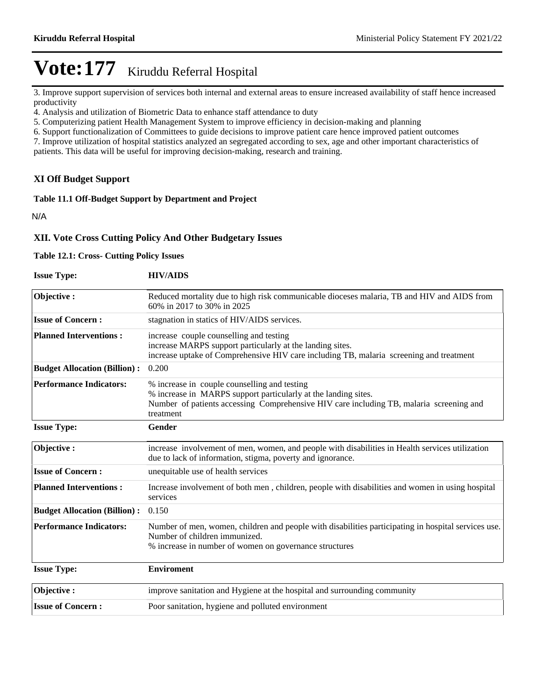3. Improve support supervision of services both internal and external areas to ensure increased availability of staff hence increased productivity

4. Analysis and utilization of Biometric Data to enhance staff attendance to duty

5. Computerizing patient Health Management System to improve efficiency in decision-making and planning

6. Support functionalization of Committees to guide decisions to improve patient care hence improved patient outcomes

7. Improve utilization of hospital statistics analyzed an segregated according to sex, age and other important characteristics of patients. This data will be useful for improving decision-making, research and training.

### **XI Off Budget Support**

### **Table 11.1 Off-Budget Support by Department and Project**

N/A

### **XII. Vote Cross Cutting Policy And Other Budgetary Issues**

### **Table 12.1: Cross- Cutting Policy Issues**

| <b>Issue Type:</b>                  | <b>HIV/AIDS</b>                                                                                                                                                                                                        |
|-------------------------------------|------------------------------------------------------------------------------------------------------------------------------------------------------------------------------------------------------------------------|
| Objective:                          | Reduced mortality due to high risk communicable dioceses malaria, TB and HIV and AIDS from<br>60% in 2017 to 30% in 2025                                                                                               |
| <b>Issue of Concern:</b>            | stagnation in statics of HIV/AIDS services.                                                                                                                                                                            |
| <b>Planned Interventions:</b>       | increase couple counselling and testing<br>increase MARPS support particularly at the landing sites.<br>increase uptake of Comprehensive HIV care including TB, malaria screening and treatment                        |
| <b>Budget Allocation (Billion):</b> | 0.200                                                                                                                                                                                                                  |
| <b>Performance Indicators:</b>      | % increase in couple counselling and testing<br>% increase in MARPS support particularly at the landing sites.<br>Number of patients accessing Comprehensive HIV care including TB, malaria screening and<br>treatment |
| <b>Issue Type:</b>                  | Gender                                                                                                                                                                                                                 |
| Objective:                          | increase involvement of men, women, and people with disabilities in Health services utilization<br>due to lack of information, stigma, poverty and ignorance.                                                          |
| <b>Issue of Concern:</b>            | unequitable use of health services                                                                                                                                                                                     |
| <b>Planned Interventions:</b>       | Increase involvement of both men, children, people with disabilities and women in using hospital<br>services                                                                                                           |
| <b>Budget Allocation (Billion):</b> | 0.150                                                                                                                                                                                                                  |
| <b>Performance Indicators:</b>      | Number of men, women, children and people with disabilities participating in hospital services use.<br>Number of children immunized.<br>% increase in number of women on governance structures                         |
| <b>Issue Type:</b>                  | <b>Enviroment</b>                                                                                                                                                                                                      |
| Objective:                          | improve sanitation and Hygiene at the hospital and surrounding community                                                                                                                                               |
| <b>Issue of Concern:</b>            | Poor sanitation, hygiene and polluted environment                                                                                                                                                                      |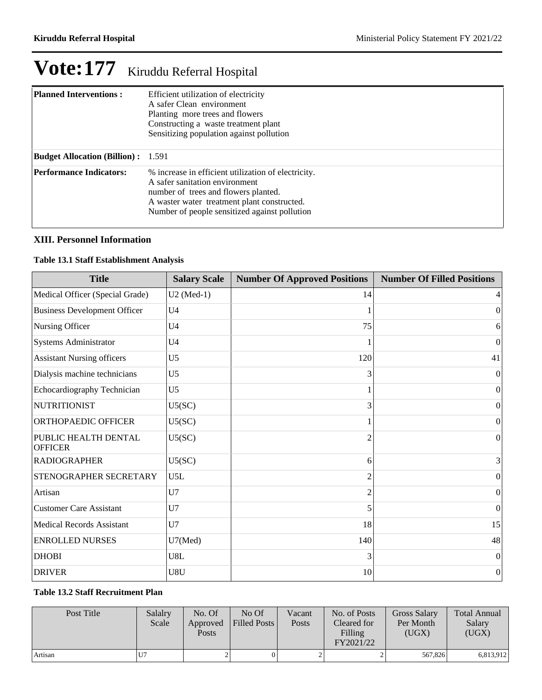| <b>Planned Interventions:</b>             | Efficient utilization of electricity<br>A safer Clean environment<br>Planting more trees and flowers<br>Constructing a waste treatment plant<br>Sensitizing population against pollution                                      |
|-------------------------------------------|-------------------------------------------------------------------------------------------------------------------------------------------------------------------------------------------------------------------------------|
| <b>Budget Allocation (Billion):</b> 1.591 |                                                                                                                                                                                                                               |
| <b>Performance Indicators:</b>            | % increase in efficient utilization of electricity.<br>A safer sanitation environment<br>number of trees and flowers planted.<br>A waster water treatment plant constructed.<br>Number of people sensitized against pollution |

### **XIII. Personnel Information**

### **Table 13.1 Staff Establishment Analysis**

| <b>Title</b>                           | <b>Salary Scale</b> | <b>Number Of Approved Positions</b> | <b>Number Of Filled Positions</b> |
|----------------------------------------|---------------------|-------------------------------------|-----------------------------------|
| Medical Officer (Special Grade)        | $U2$ (Med-1)        | 14                                  | 4                                 |
| <b>Business Development Officer</b>    | U <sub>4</sub>      |                                     | $\theta$                          |
| Nursing Officer                        | U <sub>4</sub>      | 75                                  | 6                                 |
| Systems Administrator                  | U <sub>4</sub>      |                                     | $\Omega$                          |
| <b>Assistant Nursing officers</b>      | U <sub>5</sub>      | 120                                 | 41                                |
| Dialysis machine technicians           | U <sub>5</sub>      | 3                                   | $\mathbf{0}$                      |
| Echocardiography Technician            | U <sub>5</sub>      |                                     | $\boldsymbol{0}$                  |
| <b>NUTRITIONIST</b>                    | U5(SC)              | 3                                   | $\Omega$                          |
| ORTHOPAEDIC OFFICER                    | U5(SC)              |                                     | $\Omega$                          |
| PUBLIC HEALTH DENTAL<br><b>OFFICER</b> | U5(SC)              | $\overline{c}$                      | $\theta$                          |
| <b>RADIOGRAPHER</b>                    | U5(SC)              | 6                                   | 3                                 |
| STENOGRAPHER SECRETARY                 | U5L                 | $\overline{2}$                      | $\boldsymbol{0}$                  |
| Artisan                                | U7                  | 2                                   | $\theta$                          |
| <b>Customer Care Assistant</b>         | U7                  | 5                                   | $\theta$                          |
| <b>Medical Records Assistant</b>       | U7                  | 18                                  | 15                                |
| <b>ENROLLED NURSES</b>                 | U7(Med)             | 140                                 | 48                                |
| <b>DHOBI</b>                           | U8L                 | 3                                   | $\Omega$                          |
| <b>DRIVER</b>                          | U8U                 | 10                                  | $\boldsymbol{0}$                  |

### **Table 13.2 Staff Recruitment Plan**

| Post Title | Salalry<br>Scale | No. Of<br>Approved<br>Posts | No Of<br><b>Filled Posts</b> | Vacant<br>Posts | No. of Posts<br>Cleared for<br>Filling<br>FY2021/22 | <b>Gross Salary</b><br>Per Month<br>(UGX) | <b>Total Annual</b><br>Salary<br>(UGX) |
|------------|------------------|-----------------------------|------------------------------|-----------------|-----------------------------------------------------|-------------------------------------------|----------------------------------------|
| Artisan    | $U$ 7            |                             |                              |                 |                                                     | 567,826                                   | 6,813,912                              |